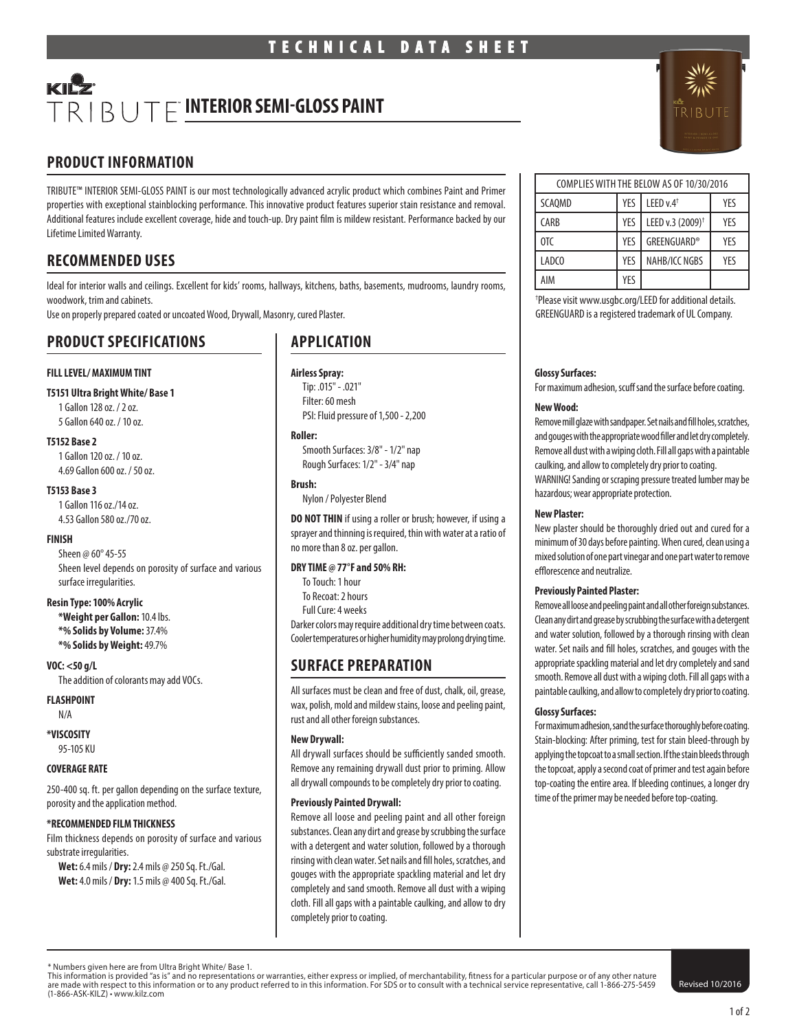# $TRIBUTF$  INTERIOR SEMI-GLOSS PAINT

# **PRODUCT INFORMATION**

TRIBUTE™ INTERIOR SEMI-GLOSS PAINT is our most technologically advanced acrylic product which combines Paint and Primer properties with exceptional stainblocking performance. This innovative product features superior stain resistance and removal. Additional features include excellent coverage, hide and touch-up. Dry paint film is mildew resistant. Performance backed by our Lifetime Limited Warranty.

# **RECOMMENDED USES**

Ideal for interior walls and ceilings. Excellent for kids' rooms, hallways, kitchens, baths, basements, mudrooms, laundry rooms, woodwork, trim and cabinets.

Use on properly prepared coated or uncoated Wood, Drywall, Masonry, cured Plaster.

# **PRODUCT SPECIFICATIONS**

## **FILL LEVEL/ MAXIMUM TINT**

#### **T5151 Ultra Bright White/ Base 1**

1 Gallon 128 oz. / 2 oz. 5 Gallon 640 oz. / 10 oz.

#### **T5152 Base 2**

1 Gallon 120 oz. / 10 oz. 4.69 Gallon 600 oz. / 50 oz.

#### **T5153 Base 3**

1 Gallon 116 oz./14 oz. 4.53 Gallon 580 oz./70 oz.

## **FINISH**

Sheen @ 60° 45-55 Sheen level depends on porosity of surface and various surface irregularities.

#### **Resin Type: 100% Acrylic**

**\*Weight per Gallon:** 10.4 lbs. **\*% Solids by Volume:** 37.4% **\*% Solids by Weight:** 49.7%

### **VOC: <50 g/L**

The addition of colorants may add VOCs.

#### **FLASHPOINT**

N/A

**\*VISCOSITY**

95-105 KU

## **COVERAGE RATE**

250-400 sq. ft. per gallon depending on the surface texture, porosity and the application method.

## **\*RECOMMENDED FILM THICKNESS**

Film thickness depends on porosity of surface and various substrate irregularities.

**Wet:** 6.4 mils / **Dry:** 2.4 mils @ 250 Sq. Ft./Gal. **Wet:** 4.0 mils / **Dry:** 1.5 mils @ 400 Sq. Ft./Gal.

# **APPLICATION**

## **Airless Spray:**

Tip: .015" - .021" Filter: 60 mesh PSI: Fluid pressure of 1,500 - 2,200

#### **Roller:**

Smooth Surfaces: 3/8" - 1/2" nap Rough Surfaces: 1/2" - 3/4" nap

#### **Brush:**

Nylon / Polyester Blend

**DO NOT THIN** if using a roller or brush; however, if using a sprayer and thinning is required, thin with water at a ratio of no more than 8 oz. per gallon.

## **DRY TIME @ 77°F and 50% RH:**

- To Touch: 1 hour
- To Recoat: 2 hours
- Full Cure: 4 weeks

Darker colors may require additional dry time between coats. Cooler temperatures or higher humidity may prolong drying time.

# **SURFACE PREPARATION**

All surfaces must be clean and free of dust, chalk, oil, grease, wax, polish, mold and mildew stains, loose and peeling paint, rust and all other foreign substances.

## **New Drywall:**

All drywall surfaces should be sufficiently sanded smooth. Remove any remaining drywall dust prior to priming. Allow all drywall compounds to be completely dry prior to coating.

#### **Previously Painted Drywall:**

Remove all loose and peeling paint and all other foreign substances. Clean any dirt and grease by scrubbing the surface with a detergent and water solution, followed by a thorough rinsing with clean water. Set nails and fill holes, scratches, and gouges with the appropriate spackling material and let dry completely and sand smooth. Remove all dust with a wiping cloth. Fill all gaps with a paintable caulking, and allow to dry completely prior to coating.

| COMPLIES WITH THE BELOW AS OF 10/30/2016 |     |                              |     |
|------------------------------------------|-----|------------------------------|-----|
| SCAOMD                                   | YES | LEED $v.4$ <sup>†</sup>      | YFS |
| <b>CARB</b>                              | YES | LEED v.3 (2009) <sup>+</sup> | YFS |
| 0TC                                      | YES | <b>GREENGUARD®</b>           | YFS |
| LADCO                                    | YFS | NAHB/ICC NGBS                | YFS |
| AIM                                      | YES |                              |     |

† Please visit www.usgbc.org/LEED for additional details. GREENGUARD is a registered trademark of UL Company.

#### **Glossy Surfaces:**

For maximum adhesion, scuff sand the surface before coating.

#### **New Wood:**

Remove mill glaze with sandpaper. Set nails and fill holes, scratches, and gouges with the appropriate wood filler and let dry completely. Remove all dust with a wiping cloth. Fill all gaps with a paintable caulking, and allow to completely dry prior to coating. WARNING! Sanding or scraping pressure treated lumber may be hazardous; wear appropriate protection.

#### **New Plaster:**

New plaster should be thoroughly dried out and cured for a minimum of 30 days before painting. When cured, clean using a mixed solution of one part vinegar and one part water to remove efflorescence and neutralize.

#### **Previously Painted Plaster:**

Remove all loose and peeling paint and all other foreign substances. Clean any dirt and grease by scrubbing the surface with a detergent and water solution, followed by a thorough rinsing with clean water. Set nails and fill holes, scratches, and gouges with the appropriate spackling material and let dry completely and sand smooth. Remove all dust with a wiping cloth. Fill all gaps with a paintable caulking, and allow to completely dry prior to coating.

## **Glossy Surfaces:**

For maximum adhesion, sand the surface thoroughly before coating. Stain-blocking: After priming, test for stain bleed-through by applying the topcoat to a small section. If the stain bleeds through the topcoat, apply a second coat of primer and test again before top-coating the entire area. If bleeding continues, a longer dry time of the primer may be needed before top-coating.

This information is provided "as is" and no representations or warranties, either express or implied, of merchantability, fitness for a particular purpose or of any other nature are made with respect to this information or to any product referred to in this information. For SDS or to consult with a technical service representative, call 1-866-275-5459 (1-866-ASK-KILZ) • www.kilz.com



<sup>\*</sup> Numbers given here are from Ultra Bright White/ Base 1.